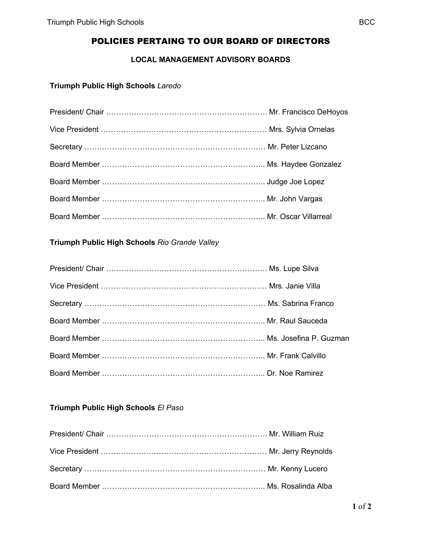# POLICIES PERTAING TO OUR BOARD OF DIRECTORS

### **LOCAL MANAGEMENT ADVISORY BOARDS**

### **Triumph Public High Schools** *Laredo*

### **Triumph Public High Schools** *Rio Grande Valley*

### **Triumph Public High Schools** *El Paso*